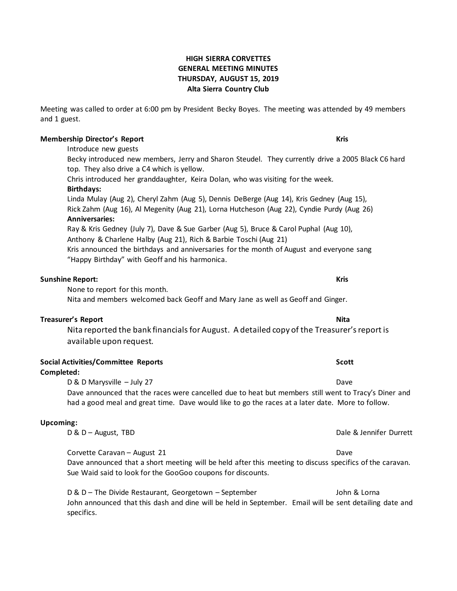## **HIGH SIERRA CORVETTES GENERAL MEETING MINUTES THURSDAY, AUGUST 15, 2019 Alta Sierra Country Club**

Meeting was called to order at 6:00 pm by President Becky Boyes. The meeting was attended by 49 members and 1 guest.

### **Membership Director's Report Kris**

Introduce new guests

Becky introduced new members, Jerry and Sharon Steudel. They currently drive a 2005 Black C6 hard top. They also drive a C4 which is yellow.

Chris introduced her granddaughter, Keira Dolan, who was visiting for the week.

### **Birthdays:**

Linda Mulay (Aug 2), Cheryl Zahm (Aug 5), Dennis DeBerge (Aug 14), Kris Gedney (Aug 15), Rick Zahm (Aug 16), Al Megenity (Aug 21), Lorna Hutcheson (Aug 22), Cyndie Purdy (Aug 26) **Anniversaries:** Ray & Kris Gedney (July 7), Dave & Sue Garber (Aug 5), Bruce & Carol Puphal (Aug 10),

Anthony & Charlene Halby (Aug 21), Rich & Barbie Toschi (Aug 21)

Kris announced the birthdays and anniversaries for the month of August and everyone sang "Happy Birthday" with Geoff and his harmonica.

## **Sunshine Report: Kris**

None to report for this month.

Nita and members welcomed back Geoff and Mary Jane as well as Geoff and Ginger.

## **Treasurer's Report Nita**

Nita reported the bank financials for August. A detailed copy of the Treasurer's report is available upon request.

## **Social Activities/Committee Reports Scott**

## **Completed:**

D & D Marysville – July 27 Dave

Dave announced that the races were cancelled due to heat but members still went to Tracy's Diner and had a good meal and great time. Dave would like to go the races at a later date. More to follow.

## **Upcoming:**

Corvette Caravan – August 21 Dave

Dave announced that a short meeting will be held after this meeting to discuss specifics of the caravan. Sue Waid said to look for the GooGoo coupons for discounts.

D & D – The Divide Restaurant, Georgetown – September John & Lorna John announced that this dash and dine will be held in September. Email will be sent detailing date and specifics.

D & D – August, TBD **Data and The Contract Contract Contract Contract Contract Contract Contract Contract Contract Contract Contract Contract Contract Contract Contract Contract Contract Contract Contract Contract Contract**